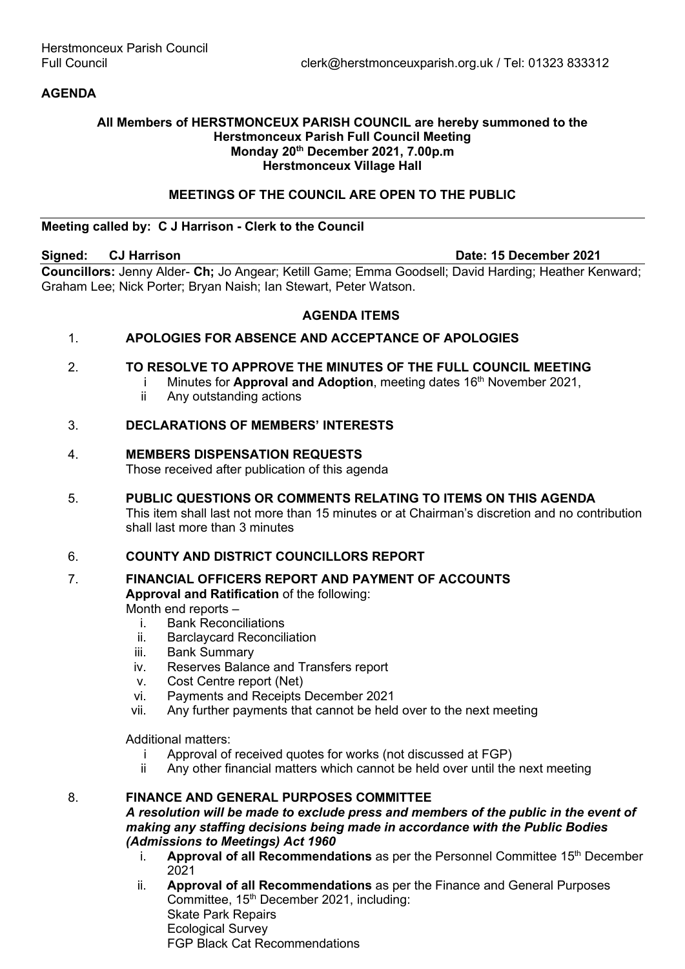## **AGENDA**

### **All Members of HERSTMONCEUX PARISH COUNCIL are hereby summoned to the Herstmonceux Parish Full Council Meeting Monday 20th December 2021, 7.00p.m Herstmonceux Village Hall**

# **MEETINGS OF THE COUNCIL ARE OPEN TO THE PUBLIC**

## **Meeting called by: C J Harrison - Clerk to the Council**

**Councillors:** Jenny Alder- **Ch;** Jo Angear; Ketill Game; Emma Goodsell; David Harding; Heather Kenward; Graham Lee; Nick Porter; Bryan Naish; Ian Stewart, Peter Watson.

# **AGENDA ITEMS**

## 1. **APOLOGIES FOR ABSENCE AND ACCEPTANCE OF APOLOGIES**

## 2. **TO RESOLVE TO APPROVE THE MINUTES OF THE FULL COUNCIL MEETING**

- i Minutes for **Approval and Adoption**, meeting dates 16<sup>th</sup> November 2021,
	- ii Any outstanding actions

## 3. **DECLARATIONS OF MEMBERS' INTERESTS**

### 4. **MEMBERS DISPENSATION REQUESTS**

Those received after publication of this agenda

5. **PUBLIC QUESTIONS OR COMMENTS RELATING TO ITEMS ON THIS AGENDA** This item shall last not more than 15 minutes or at Chairman's discretion and no contribution shall last more than 3 minutes

## 6. **COUNTY AND DISTRICT COUNCILLORS REPORT**

## 7. **FINANCIAL OFFICERS REPORT AND PAYMENT OF ACCOUNTS Approval and Ratification** of the following:

Month end reports –

- i. Bank Reconciliations
- ii. Barclaycard Reconciliation
- iii. Bank Summary
- iv. Reserves Balance and Transfers report
- v. Cost Centre report (Net)
- vi. Payments and Receipts December 2021
- vii. Any further payments that cannot be held over to the next meeting

Additional matters:

- i Approval of received quotes for works (not discussed at FGP)
- ii Any other financial matters which cannot be held over until the next meeting

# 8. **FINANCE AND GENERAL PURPOSES COMMITTEE**

#### *A resolution will be made to exclude press and members of the public in the event of making any staffing decisions being made in accordance with the Public Bodies (Admissions to Meetings) Act 1960*

- i. **Approval of all Recommendations** as per the Personnel Committee 15th December 2021
- ii. **Approval of all Recommendations** as per the Finance and General Purposes Committee, 15<sup>th</sup> December 2021, including: Skate Park Repairs Ecological Survey FGP Black Cat Recommendations

**Signed: CJ Harrison Date: 15 December 2021**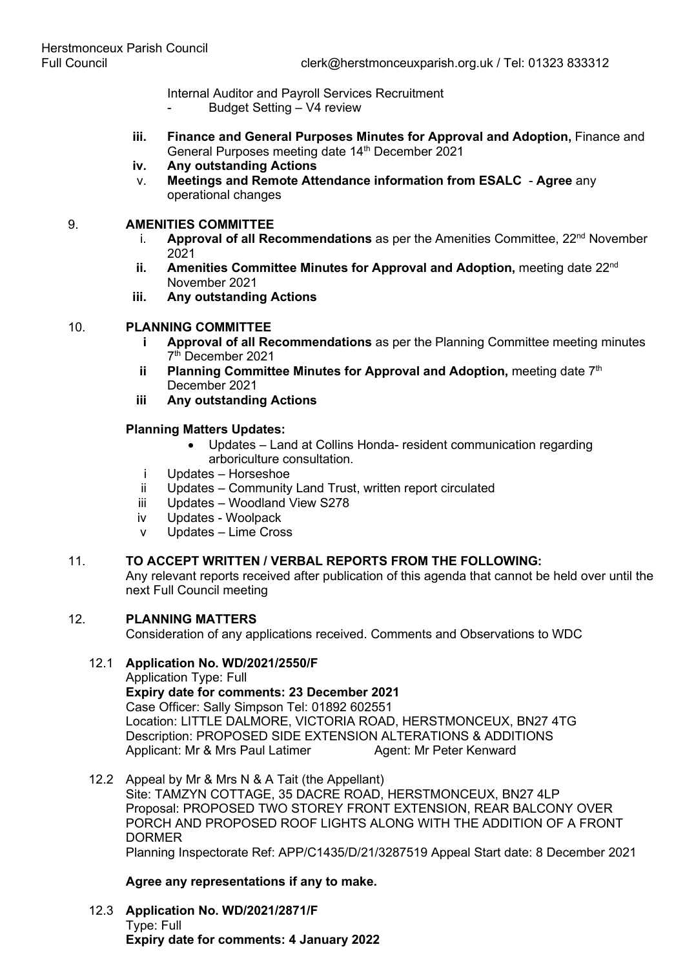Internal Auditor and Payroll Services Recruitment

- Budget Setting V4 review
- **iii. Finance and General Purposes Minutes for Approval and Adoption,** Finance and General Purposes meeting date 14<sup>th</sup> December 2021
- **iv. Any outstanding Actions**
- v. **Meetings and Remote Attendance information from ESALC Agree** any operational changes

### 9. **AMENITIES COMMITTEE**

- i. **Approval of all Recommendations** as per the Amenities Committee, 22<sup>nd</sup> November 2021
- **ii. Amenities Committee Minutes for Approval and Adoption,** meeting date 22nd November 2021
- **iii. Any outstanding Actions**

## 10. **PLANNING COMMITTEE**

- **i Approval of all Recommendations** as per the Planning Committee meeting minutes 7th December 2021
- **ii Planning Committee Minutes for Approval and Adoption, meeting date 7<sup>th</sup>** December 2021
- **iii Any outstanding Actions**

### **Planning Matters Updates:**

- Updates Land at Collins Honda- resident communication regarding arboriculture consultation.
- i Updates Horseshoe
- ii Updates Community Land Trust, written report circulated
- iii Updates Woodland View S278
- iv Updates Woolpack
- v Updates Lime Cross

## 11. **TO ACCEPT WRITTEN / VERBAL REPORTS FROM THE FOLLOWING:**

Any relevant reports received after publication of this agenda that cannot be held over until the next Full Council meeting

#### 12. **PLANNING MATTERS**

Consideration of any applications received. Comments and Observations to WDC

## 12.1 **Application No. WD/2021/2550/F**

Application Type: Full **Expiry date for comments: 23 December 2021**  Case Officer: Sally Simpson Tel: 01892 602551 Location: LITTLE DALMORE, VICTORIA ROAD, HERSTMONCEUX, BN27 4TG Description: PROPOSED SIDE EXTENSION ALTERATIONS & ADDITIONS Applicant: Mr & Mrs Paul Latimer Agent: Mr Peter Kenward

12.2 Appeal by Mr & Mrs N & A Tait (the Appellant) Site: TAMZYN COTTAGE, 35 DACRE ROAD, HERSTMONCEUX, BN27 4LP Proposal: PROPOSED TWO STOREY FRONT EXTENSION, REAR BALCONY OVER PORCH AND PROPOSED ROOF LIGHTS ALONG WITH THE ADDITION OF A FRONT DORMER Planning Inspectorate Ref: APP/C1435/D/21/3287519 Appeal Start date: 8 December 2021

## **Agree any representations if any to make.**

12.3 **Application No. WD/2021/2871/F**  Type: Full **Expiry date for comments: 4 January 2022**